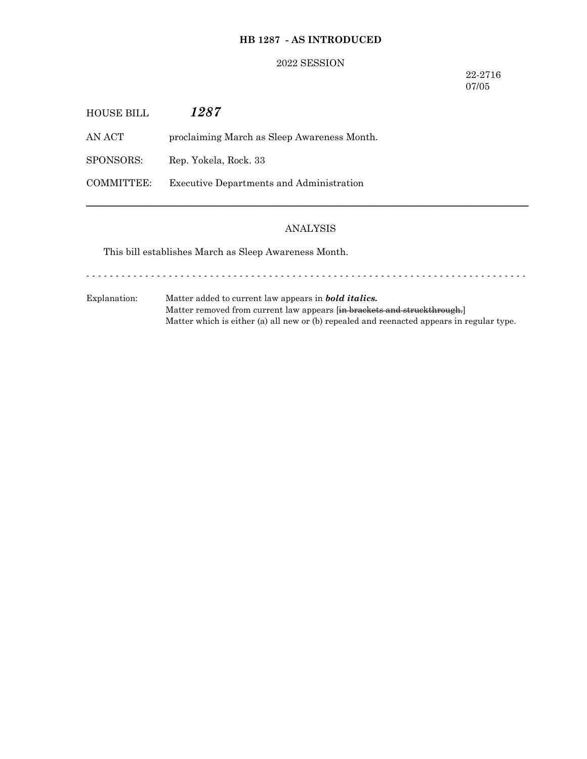# **HB 1287 - AS INTRODUCED**

## 2022 SESSION

22-2716 07/05

| HOUSE BILL | 1287                                        |
|------------|---------------------------------------------|
| AN ACT     | proclaiming March as Sleep Awareness Month. |
| SPONSORS:  | Rep. Yokela, Rock. 33                       |
| COMMITTEE: | Executive Departments and Administration    |

# ANALYSIS

─────────────────────────────────────────────────────────────────

This bill establishes March as Sleep Awareness Month.

Explanation: Matter added to current law appears in *bold italics.* Matter removed from current law appears [in brackets and struckthrough.] Matter which is either (a) all new or (b) repealed and reenacted appears in regular type.

- - - - - - - - - - - - - - - - - - - - - - - - - - - - - - - - - - - - - - - - - - - - - - - - - - - - - - - - - - - - - - - - - - - - - - - - - - -